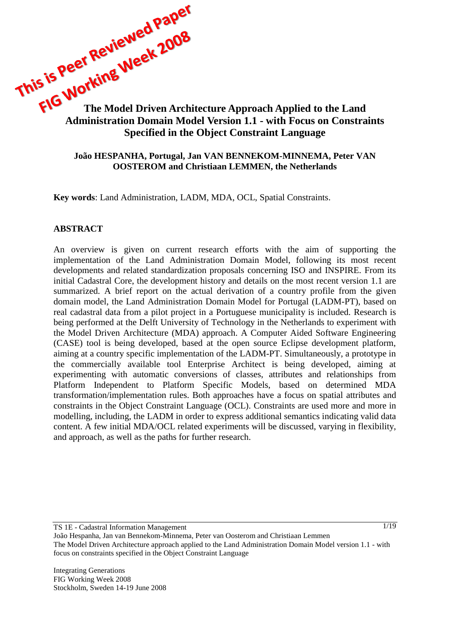# This is vee.<br>The Morking Week Zuw<br>Administration Depth Architecture Approach Applied to the Land **Administration Domain Model Version 1.1 - with Focus on Constraints Specified in the Object Constraint Language**

#### **João HESPANHA, Portugal, Jan VAN BENNEKOM-MINNEMA, Peter VAN OOSTEROM and Christiaan LEMMEN, the Netherlands**

**Key words**: Land Administration, LADM, MDA, OCL, Spatial Constraints.

#### **ABSTRACT**

An overview is given on current research efforts with the aim of supporting the implementation of the Land Administration Domain Model, following its most recent developments and related standardization proposals concerning ISO and INSPIRE. From its initial Cadastral Core, the development history and details on the most recent version 1.1 are summarized. A brief report on the actual derivation of a country profile from the given domain model, the Land Administration Domain Model for Portugal (LADM-PT), based on real cadastral data from a pilot project in a Portuguese municipality is included. Research is being performed at the Delft University of Technology in the Netherlands to experiment with the Model Driven Architecture (MDA) approach. A Computer Aided Software Engineering (CASE) tool is being developed, based at the open source Eclipse development platform, aiming at a country specific implementation of the LADM-PT. Simultaneously, a prototype in the commercially available tool Enterprise Architect is being developed, aiming at experimenting with automatic conversions of classes, attributes and relationships from Platform Independent to Platform Specific Models, based on determined MDA transformation/implementation rules. Both approaches have a focus on spatial attributes and constraints in the Object Constraint Language (OCL). Constraints are used more and more in modelling, including, the LADM in order to express additional semantics indicating valid data content. A few initial MDA/OCL related experiments will be discussed, varying in flexibility, and approach, as well as the paths for further research.

TS 1E - Cadastral Information Management

João Hespanha, Jan van Bennekom-Minnema, Peter van Oosterom and Christiaan Lemmen The Model Driven Architecture approach applied to the Land Administration Domain Model version 1.1 - with focus on constraints specified in the Object Constraint Language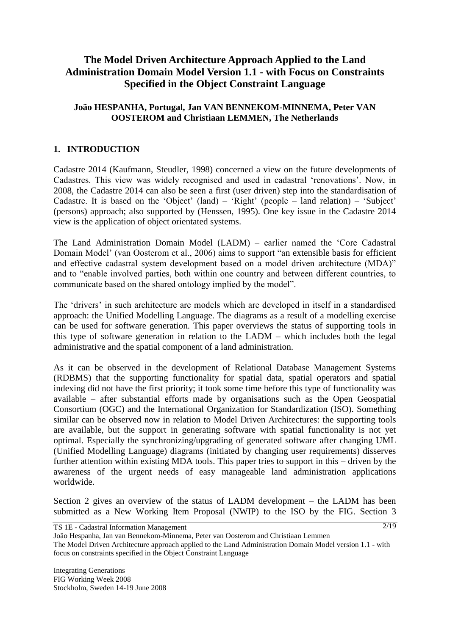# **The Model Driven Architecture Approach Applied to the Land Administration Domain Model Version 1.1 - with Focus on Constraints Specified in the Object Constraint Language**

## **João HESPANHA, Portugal, Jan VAN BENNEKOM-MINNEMA, Peter VAN OOSTEROM and Christiaan LEMMEN, The Netherlands**

## **1. INTRODUCTION**

Cadastre 2014 (Kaufmann, Steudler, 1998) concerned a view on the future developments of Cadastres. This view was widely recognised and used in cadastral "renovations". Now, in 2008, the Cadastre 2014 can also be seen a first (user driven) step into the standardisation of Cadastre. It is based on the 'Object' (land) – 'Right' (people – land relation) – 'Subject' (persons) approach; also supported by (Henssen, 1995). One key issue in the Cadastre 2014 view is the application of object orientated systems.

The Land Administration Domain Model (LADM) – earlier named the "Core Cadastral Domain Model" (van Oosterom et al., 2006) aims to support "an extensible basis for efficient and effective cadastral system development based on a model driven architecture (MDA)" and to "enable involved parties, both within one country and between different countries, to communicate based on the shared ontology implied by the model".

The 'drivers' in such architecture are models which are developed in itself in a standardised approach: the Unified Modelling Language. The diagrams as a result of a modelling exercise can be used for software generation. This paper overviews the status of supporting tools in this type of software generation in relation to the LADM – which includes both the legal administrative and the spatial component of a land administration.

As it can be observed in the development of Relational Database Management Systems (RDBMS) that the supporting functionality for spatial data, spatial operators and spatial indexing did not have the first priority; it took some time before this type of functionality was available – after substantial efforts made by organisations such as the Open Geospatial Consortium (OGC) and the International Organization for Standardization (ISO). Something similar can be observed now in relation to Model Driven Architectures: the supporting tools are available, but the support in generating software with spatial functionality is not yet optimal. Especially the synchronizing/upgrading of generated software after changing UML (Unified Modelling Language) diagrams (initiated by changing user requirements) disserves further attention within existing MDA tools. This paper tries to support in this – driven by the awareness of the urgent needs of easy manageable land administration applications worldwide.

Section 2 gives an overview of the status of LADM development – the LADM has been submitted as a New Working Item Proposal (NWIP) to the ISO by the FIG. Section 3

TS 1E - Cadastral Information Management

Integrating Generations FIG Working Week 2008 Stockholm, Sweden 14-19 June 2008

João Hespanha, Jan van Bennekom-Minnema, Peter van Oosterom and Christiaan Lemmen The Model Driven Architecture approach applied to the Land Administration Domain Model version 1.1 - with focus on constraints specified in the Object Constraint Language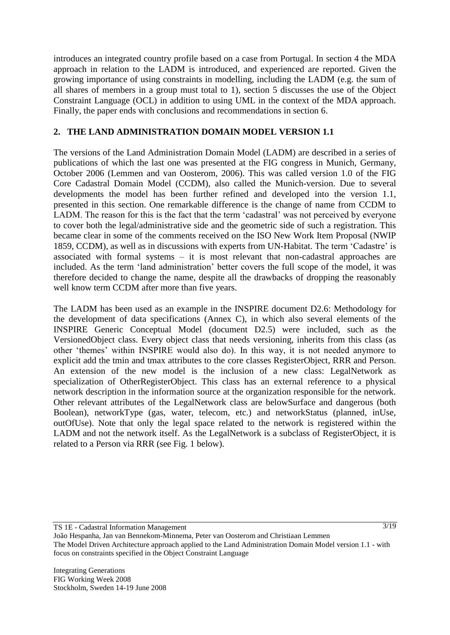introduces an integrated country profile based on a case from Portugal. In section 4 the MDA approach in relation to the LADM is introduced, and experienced are reported. Given the growing importance of using constraints in modelling, including the LADM (e.g. the sum of all shares of members in a group must total to 1), section 5 discusses the use of the Object Constraint Language (OCL) in addition to using UML in the context of the MDA approach. Finally, the paper ends with conclusions and recommendations in section 6.

## **2. THE LAND ADMINISTRATION DOMAIN MODEL VERSION 1.1**

The versions of the Land Administration Domain Model (LADM) are described in a series of publications of which the last one was presented at the FIG congress in Munich, Germany, October 2006 (Lemmen and van Oosterom, 2006). This was called version 1.0 of the FIG Core Cadastral Domain Model (CCDM), also called the Munich-version. Due to several developments the model has been further refined and developed into the version 1.1, presented in this section. One remarkable difference is the change of name from CCDM to LADM. The reason for this is the fact that the term "cadastral" was not perceived by everyone to cover both the legal/administrative side and the geometric side of such a registration. This became clear in some of the comments received on the ISO New Work Item Proposal (NWIP 1859, CCDM), as well as in discussions with experts from UN-Habitat. The term "Cadastre" is associated with formal systems – it is most relevant that non-cadastral approaches are included. As the term "land administration" better covers the full scope of the model, it was therefore decided to change the name, despite all the drawbacks of dropping the reasonably well know term CCDM after more than five years.

The LADM has been used as an example in the INSPIRE document D2.6: Methodology for the development of data specifications (Annex C), in which also several elements of the INSPIRE Generic Conceptual Model (document D2.5) were included, such as the VersionedObject class. Every object class that needs versioning, inherits from this class (as other "themes" within INSPIRE would also do). In this way, it is not needed anymore to explicit add the tmin and tmax attributes to the core classes RegisterObject, RRR and Person. An extension of the new model is the inclusion of a new class: LegalNetwork as specialization of OtherRegisterObject. This class has an external reference to a physical network description in the information source at the organization responsible for the network. Other relevant attributes of the LegalNetwork class are belowSurface and dangerous (both Boolean), networkType (gas, water, telecom, etc.) and networkStatus (planned, inUse, outOfUse). Note that only the legal space related to the network is registered within the LADM and not the network itself. As the LegalNetwork is a subclass of RegisterObject, it is related to a Person via RRR (see Fig. 1 below).

TS 1E - Cadastral Information Management

João Hespanha, Jan van Bennekom-Minnema, Peter van Oosterom and Christiaan Lemmen The Model Driven Architecture approach applied to the Land Administration Domain Model version 1.1 - with focus on constraints specified in the Object Constraint Language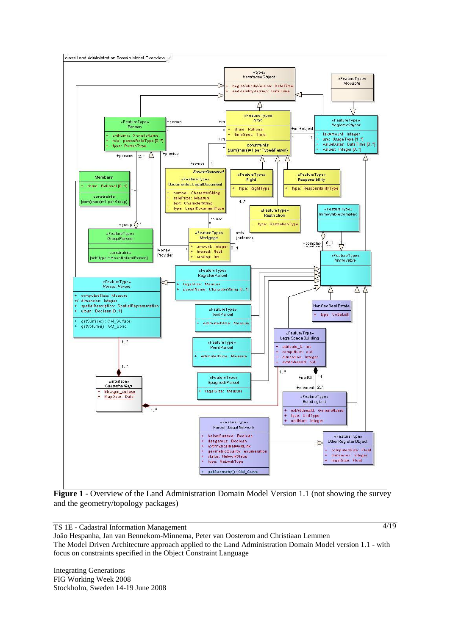

**Figure 1** - Overview of the Land Administration Domain Model Version 1.1 (not showing the survey and the geometry/topology packages)

TS 1E - Cadastral Information Management

4/19

João Hespanha, Jan van Bennekom-Minnema, Peter van Oosterom and Christiaan Lemmen The Model Driven Architecture approach applied to the Land Administration Domain Model version 1.1 - with focus on constraints specified in the Object Constraint Language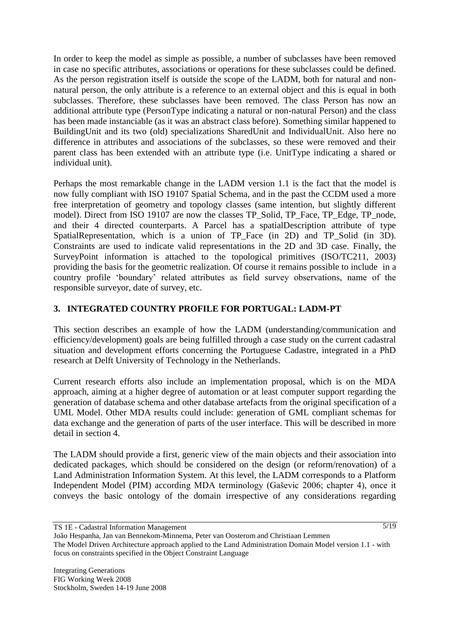In order to keep the model as simple as possible, a number of subclasses have been removed in case no specific attributes, associations or operations for these subclasses could be defined. As the person registration itself is outside the scope of the LADM, both for natural and nonnatural person, the only attribute is a reference to an external object and this is equal in both subclasses. Therefore, these subclasses have been removed. The class Person has now an additional attribute type (PersonType indicating a natural or non-natural Person) and the class has been made instanciable (as it was an abstract class before). Something similar happened to BuildingUnit and its two (old) specializations SharedUnit and IndividualUnit. Also here no difference in attributes and associations of the subclasses, so these were removed and their parent class has been extended with an attribute type (i.e. UnitType indicating a shared or individual unit).

Perhaps the most remarkable change in the LADM version 1.1 is the fact that the model is now fully compliant with ISO 19107 Spatial Schema, and in the past the CCDM used a more free interpretation of geometry and topology classes (same intention, but slightly different model). Direct from ISO 19107 are now the classes TP\_Solid, TP\_Face, TP\_Edge, TP\_node, and their 4 directed counterparts. A Parcel has a spatialDescription attribute of type SpatialRepresentation, which is a union of TP\_Face (in 2D) and TP\_Solid (in 3D). Constraints are used to indicate valid representations in the 2D and 3D case. Finally, the SurveyPoint information is attached to the topological primitives (ISO/TC211, 2003) providing the basis for the geometric realization. Of course it remains possible to include in a country profile "boundary" related attributes as field survey observations, name of the responsible surveyor, date of survey, etc.

## **3. INTEGRATED COUNTRY PROFILE FOR PORTUGAL: LADM-PT**

This section describes an example of how the LADM (understanding/communication and efficiency/development) goals are being fulfilled through a case study on the current cadastral situation and development efforts concerning the Portuguese Cadastre, integrated in a PhD research at Delft University of Technology in the Netherlands.

Current research efforts also include an implementation proposal, which is on the MDA approach, aiming at a higher degree of automation or at least computer support regarding the generation of database schema and other database artefacts from the original specification of a UML Model. Other MDA results could include: generation of GML compliant schemas for data exchange and the generation of parts of the user interface. This will be described in more detail in section 4.

The LADM should provide a first, generic view of the main objects and their association into dedicated packages, which should be considered on the design (or reform/renovation) of a Land Administration Information System. At this level, the LADM corresponds to a Platform Independent Model (PIM) according MDA terminology (Gaševic 2006; chapter 4), once it conveys the basic ontology of the domain irrespective of any considerations regarding

TS 1E - Cadastral Information Management

João Hespanha, Jan van Bennekom-Minnema, Peter van Oosterom and Christiaan Lemmen The Model Driven Architecture approach applied to the Land Administration Domain Model version 1.1 - with focus on constraints specified in the Object Constraint Language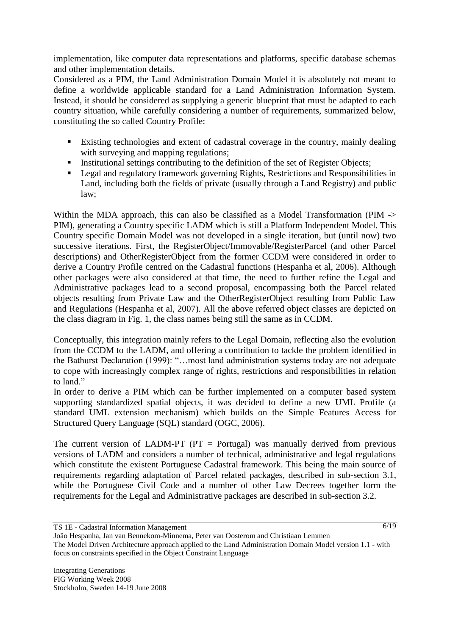implementation, like computer data representations and platforms, specific database schemas and other implementation details.

Considered as a PIM, the Land Administration Domain Model it is absolutely not meant to define a worldwide applicable standard for a Land Administration Information System. Instead, it should be considered as supplying a generic blueprint that must be adapted to each country situation, while carefully considering a number of requirements, summarized below, constituting the so called Country Profile:

- Existing technologies and extent of cadastral coverage in the country, mainly dealing with surveying and mapping regulations;
- Institutional settings contributing to the definition of the set of Register Objects;
- **Legal and regulatory framework governing Rights, Restrictions and Responsibilities in** Land, including both the fields of private (usually through a Land Registry) and public law;

Within the MDA approach, this can also be classified as a Model Transformation (PIM -> PIM), generating a Country specific LADM which is still a Platform Independent Model. This Country specific Domain Model was not developed in a single iteration, but (until now) two successive iterations. First, the RegisterObject/Immovable/RegisterParcel (and other Parcel descriptions) and OtherRegisterObject from the former CCDM were considered in order to derive a Country Profile centred on the Cadastral functions (Hespanha et al, 2006). Although other packages were also considered at that time, the need to further refine the Legal and Administrative packages lead to a second proposal, encompassing both the Parcel related objects resulting from Private Law and the OtherRegisterObject resulting from Public Law and Regulations (Hespanha et al, 2007). All the above referred object classes are depicted on the class diagram in Fig. 1, the class names being still the same as in CCDM.

Conceptually, this integration mainly refers to the Legal Domain, reflecting also the evolution from the CCDM to the LADM, and offering a contribution to tackle the problem identified in the Bathurst Declaration (1999): "…most land administration systems today are not adequate to cope with increasingly complex range of rights, restrictions and responsibilities in relation to land."

In order to derive a PIM which can be further implemented on a computer based system supporting standardized spatial objects, it was decided to define a new UML Profile (a standard UML extension mechanism) which builds on the Simple Features Access for Structured Query Language (SQL) standard (OGC, 2006).

The current version of LADM-PT ( $PT =$  Portugal) was manually derived from previous versions of LADM and considers a number of technical, administrative and legal regulations which constitute the existent Portuguese Cadastral framework. This being the main source of requirements regarding adaptation of Parcel related packages, described in sub-section 3.1, while the Portuguese Civil Code and a number of other Law Decrees together form the requirements for the Legal and Administrative packages are described in sub-section 3.2.

TS 1E - Cadastral Information Management

<sup>6/19</sup>

João Hespanha, Jan van Bennekom-Minnema, Peter van Oosterom and Christiaan Lemmen The Model Driven Architecture approach applied to the Land Administration Domain Model version 1.1 - with focus on constraints specified in the Object Constraint Language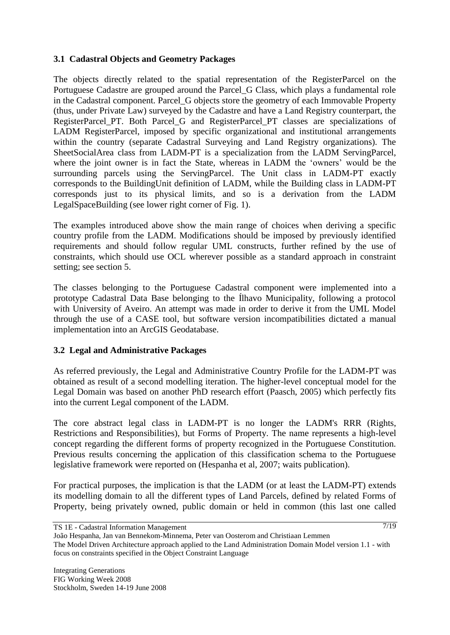## **3.1 Cadastral Objects and Geometry Packages**

The objects directly related to the spatial representation of the RegisterParcel on the Portuguese Cadastre are grouped around the Parcel\_G Class, which plays a fundamental role in the Cadastral component. Parcel\_G objects store the geometry of each Immovable Property (thus, under Private Law) surveyed by the Cadastre and have a Land Registry counterpart, the RegisterParcel PT. Both Parcel G and RegisterParcel PT classes are specializations of LADM RegisterParcel, imposed by specific organizational and institutional arrangements within the country (separate Cadastral Surveying and Land Registry organizations). The SheetSocialArea class from LADM-PT is a specialization from the LADM ServingParcel, where the joint owner is in fact the State, whereas in LADM the 'owners' would be the surrounding parcels using the ServingParcel. The Unit class in LADM-PT exactly corresponds to the BuildingUnit definition of LADM, while the Building class in LADM-PT corresponds just to its physical limits, and so is a derivation from the LADM LegalSpaceBuilding (see lower right corner of Fig. 1).

The examples introduced above show the main range of choices when deriving a specific country profile from the LADM. Modifications should be imposed by previously identified requirements and should follow regular UML constructs, further refined by the use of constraints, which should use OCL wherever possible as a standard approach in constraint setting; see section 5.

The classes belonging to the Portuguese Cadastral component were implemented into a prototype Cadastral Data Base belonging to the Ílhavo Municipality, following a protocol with University of Aveiro. An attempt was made in order to derive it from the UML Model through the use of a CASE tool, but software version incompatibilities dictated a manual implementation into an ArcGIS Geodatabase.

## **3.2 Legal and Administrative Packages**

As referred previously, the Legal and Administrative Country Profile for the LADM-PT was obtained as result of a second modelling iteration. The higher-level conceptual model for the Legal Domain was based on another PhD research effort (Paasch, 2005) which perfectly fits into the current Legal component of the LADM.

The core abstract legal class in LADM-PT is no longer the LADM's RRR (Rights, Restrictions and Responsibilities), but Forms of Property. The name represents a high-level concept regarding the different forms of property recognized in the Portuguese Constitution. Previous results concerning the application of this classification schema to the Portuguese legislative framework were reported on (Hespanha et al, 2007; waits publication).

For practical purposes, the implication is that the LADM (or at least the LADM-PT) extends its modelling domain to all the different types of Land Parcels, defined by related Forms of Property, being privately owned, public domain or held in common (this last one called

TS 1E - Cadastral Information Management

João Hespanha, Jan van Bennekom-Minnema, Peter van Oosterom and Christiaan Lemmen The Model Driven Architecture approach applied to the Land Administration Domain Model version 1.1 - with focus on constraints specified in the Object Constraint Language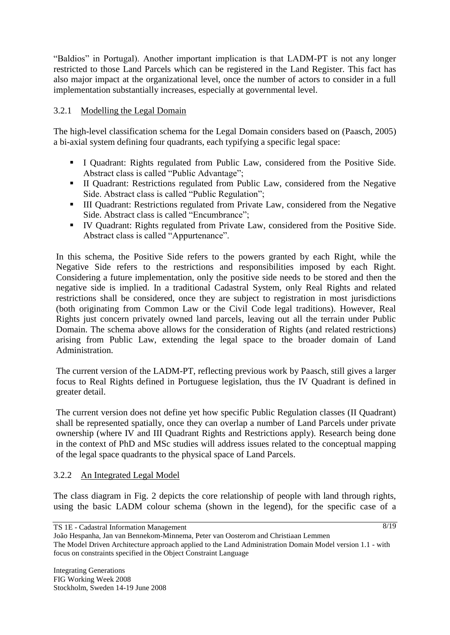"Baldios" in Portugal). Another important implication is that LADM-PT is not any longer restricted to those Land Parcels which can be registered in the Land Register. This fact has also major impact at the organizational level, once the number of actors to consider in a full implementation substantially increases, especially at governmental level.

## 3.2.1 Modelling the Legal Domain

The high-level classification schema for the Legal Domain considers based on (Paasch, 2005) a bi-axial system defining four quadrants, each typifying a specific legal space:

- I Quadrant: Rights regulated from Public Law, considered from the Positive Side. Abstract class is called "Public Advantage";
- II Quadrant: Restrictions regulated from Public Law, considered from the Negative Side. Abstract class is called "Public Regulation";
- III Quadrant: Restrictions regulated from Private Law, considered from the Negative Side. Abstract class is called "Encumbrance";
- IV Quadrant: Rights regulated from Private Law, considered from the Positive Side. Abstract class is called "Appurtenance".

In this schema, the Positive Side refers to the powers granted by each Right, while the Negative Side refers to the restrictions and responsibilities imposed by each Right. Considering a future implementation, only the positive side needs to be stored and then the negative side is implied. In a traditional Cadastral System, only Real Rights and related restrictions shall be considered, once they are subject to registration in most jurisdictions (both originating from Common Law or the Civil Code legal traditions). However, Real Rights just concern privately owned land parcels, leaving out all the terrain under Public Domain. The schema above allows for the consideration of Rights (and related restrictions) arising from Public Law, extending the legal space to the broader domain of Land Administration.

The current version of the LADM-PT, reflecting previous work by Paasch, still gives a larger focus to Real Rights defined in Portuguese legislation, thus the IV Quadrant is defined in greater detail.

The current version does not define yet how specific Public Regulation classes (II Quadrant) shall be represented spatially, once they can overlap a number of Land Parcels under private ownership (where IV and III Quadrant Rights and Restrictions apply). Research being done in the context of PhD and MSc studies will address issues related to the conceptual mapping of the legal space quadrants to the physical space of Land Parcels.

## 3.2.2 An Integrated Legal Model

The class diagram in Fig. 2 depicts the core relationship of people with land through rights, using the basic LADM colour schema (shown in the legend), for the specific case of a

TS 1E - Cadastral Information Management

João Hespanha, Jan van Bennekom-Minnema, Peter van Oosterom and Christiaan Lemmen The Model Driven Architecture approach applied to the Land Administration Domain Model version 1.1 - with focus on constraints specified in the Object Constraint Language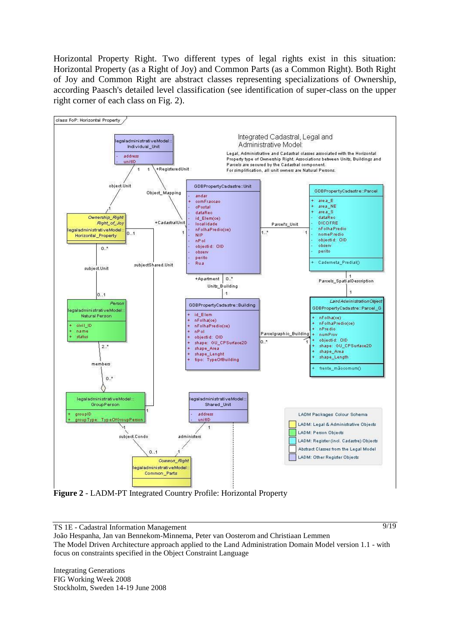Horizontal Property Right. Two different types of legal rights exist in this situation: Horizontal Property (as a Right of Joy) and Common Parts (as a Common Right). Both Right of Joy and Common Right are abstract classes representing specializations of Ownership, according Paasch's detailed level classification (see identification of super-class on the upper right corner of each class on Fig. 2).



**Figure 2** - LADM-PT Integrated Country Profile: Horizontal Property

TS 1E - Cadastral Information Management

9/19

João Hespanha, Jan van Bennekom-Minnema, Peter van Oosterom and Christiaan Lemmen The Model Driven Architecture approach applied to the Land Administration Domain Model version 1.1 - with focus on constraints specified in the Object Constraint Language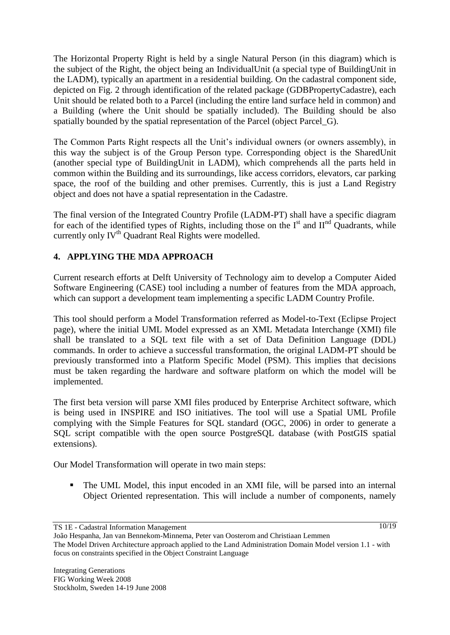The Horizontal Property Right is held by a single Natural Person (in this diagram) which is the subject of the Right, the object being an IndividualUnit (a special type of BuildingUnit in the LADM), typically an apartment in a residential building. On the cadastral component side, depicted on Fig. 2 through identification of the related package (GDBPropertyCadastre), each Unit should be related both to a Parcel (including the entire land surface held in common) and a Building (where the Unit should be spatially included). The Building should be also spatially bounded by the spatial representation of the Parcel (object Parcel\_G).

The Common Parts Right respects all the Unit"s individual owners (or owners assembly), in this way the subject is of the Group Person type. Corresponding object is the SharedUnit (another special type of BuildingUnit in LADM), which comprehends all the parts held in common within the Building and its surroundings, like access corridors, elevators, car parking space, the roof of the building and other premises. Currently, this is just a Land Registry object and does not have a spatial representation in the Cadastre.

The final version of the Integrated Country Profile (LADM-PT) shall have a specific diagram for each of the identified types of Rights, including those on the  $I<sup>st</sup>$  and  $II<sup>nd</sup>$  Quadrants, while currently only IV<sup>th</sup> Quadrant Real Rights were modelled.

## **4. APPLYING THE MDA APPROACH**

Current research efforts at Delft University of Technology aim to develop a Computer Aided Software Engineering (CASE) tool including a number of features from the MDA approach, which can support a development team implementing a specific LADM Country Profile.

This tool should perform a Model Transformation referred as Model-to-Text (Eclipse Project page), where the initial UML Model expressed as an XML Metadata Interchange (XMI) file shall be translated to a SQL text file with a set of Data Definition Language (DDL) commands. In order to achieve a successful transformation, the original LADM-PT should be previously transformed into a Platform Specific Model (PSM). This implies that decisions must be taken regarding the hardware and software platform on which the model will be implemented.

The first beta version will parse XMI files produced by Enterprise Architect software, which is being used in INSPIRE and ISO initiatives. The tool will use a Spatial UML Profile complying with the Simple Features for SQL standard (OGC, 2006) in order to generate a SQL script compatible with the open source PostgreSQL database (with PostGIS spatial extensions).

Our Model Transformation will operate in two main steps:

 The UML Model, this input encoded in an XMI file, will be parsed into an internal Object Oriented representation. This will include a number of components, namely

TS 1E - Cadastral Information Management

 $\sqrt{10/19}$ 

João Hespanha, Jan van Bennekom-Minnema, Peter van Oosterom and Christiaan Lemmen The Model Driven Architecture approach applied to the Land Administration Domain Model version 1.1 - with focus on constraints specified in the Object Constraint Language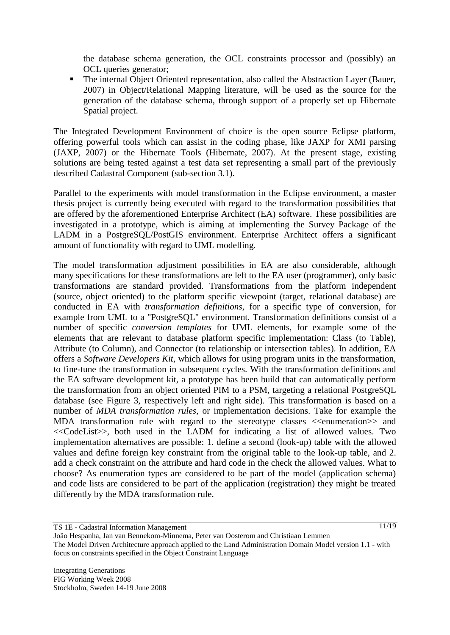the database schema generation, the OCL constraints processor and (possibly) an OCL queries generator;

• The internal Object Oriented representation, also called the Abstraction Layer (Bauer, 2007) in Object/Relational Mapping literature, will be used as the source for the generation of the database schema, through support of a properly set up Hibernate Spatial project.

The Integrated Development Environment of choice is the open source Eclipse platform, offering powerful tools which can assist in the coding phase, like JAXP for XMI parsing (JAXP, 2007) or the Hibernate Tools (Hibernate, 2007). At the present stage, existing solutions are being tested against a test data set representing a small part of the previously described Cadastral Component (sub-section 3.1).

Parallel to the experiments with model transformation in the Eclipse environment, a master thesis project is currently being executed with regard to the transformation possibilities that are offered by the aforementioned Enterprise Architect (EA) software. These possibilities are investigated in a prototype, which is aiming at implementing the Survey Package of the LADM in a PostgreSQL/PostGIS environment. Enterprise Architect offers a significant amount of functionality with regard to UML modelling.

The model transformation adjustment possibilities in EA are also considerable, although many specifications for these transformations are left to the EA user (programmer), only basic transformations are standard provided. Transformations from the platform independent (source, object oriented) to the platform specific viewpoint (target, relational database) are conducted in EA with *transformation definitions*, for a specific type of conversion, for example from UML to a "PostgreSQL" environment. Transformation definitions consist of a number of specific *conversion templates* for UML elements, for example some of the elements that are relevant to database platform specific implementation: Class (to Table), Attribute (to Column), and Connector (to relationship or intersection tables). In addition, EA offers a *Software Developers Kit*, which allows for using program units in the transformation, to fine-tune the transformation in subsequent cycles. With the transformation definitions and the EA software development kit, a prototype has been build that can automatically perform the transformation from an object oriented PIM to a PSM, targeting a relational PostgreSQL database (see Figure 3, respectively left and right side). This transformation is based on a number of *MDA transformation rules*, or implementation decisions. Take for example the MDA transformation rule with regard to the stereotype classes  $\leq$ enumeration $\geq$  and <<CodeList>>, both used in the LADM for indicating a list of allowed values. Two implementation alternatives are possible: 1. define a second (look-up) table with the allowed values and define foreign key constraint from the original table to the look-up table, and 2. add a check constraint on the attribute and hard code in the check the allowed values. What to choose? As enumeration types are considered to be part of the model (application schema) and code lists are considered to be part of the application (registration) they might be treated differently by the MDA transformation rule.

TS 1E - Cadastral Information Management

João Hespanha, Jan van Bennekom-Minnema, Peter van Oosterom and Christiaan Lemmen The Model Driven Architecture approach applied to the Land Administration Domain Model version 1.1 - with focus on constraints specified in the Object Constraint Language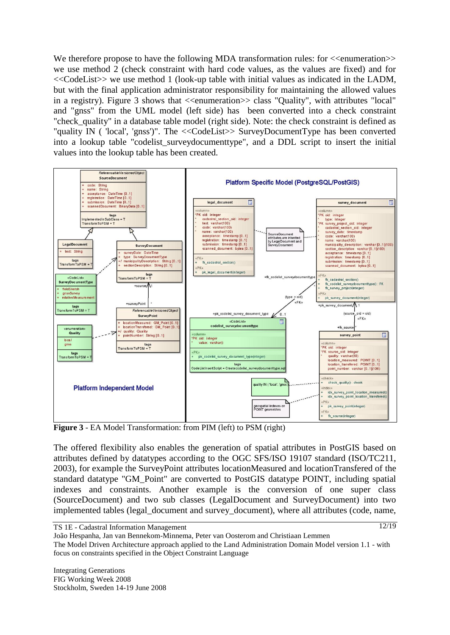We therefore propose to have the following MDA transformation rules: for  $\leq$ enumeration $\geq$ we use method 2 (check constraint with hard code values, as the values are fixed) and for <<CodeList>> we use method 1 (look-up table with initial values as indicated in the LADM, but with the final application administrator responsibility for maintaining the allowed values in a registry). Figure 3 shows that  $\ll$ enumeration  $\gg$  class "Quality", with attributes "local" and "gnss" from the UML model (left side) has been converted into a check constraint "check quality" in a database table model (right side). Note: the check constraint is defined as "quality IN ( 'local', 'gnss')". The <<CodeList>> SurveyDocumentType has been converted into a lookup table "codelist\_surveydocumenttype", and a DDL script to insert the initial values into the lookup table has been created.



**Figure 3** - EA Model Transformation: from PIM (left) to PSM (right)

The offered flexibility also enables the generation of spatial attributes in PostGIS based on attributes defined by datatypes according to the OGC SFS/ISO 19107 standard (ISO/TC211, 2003), for example the SurveyPoint attributes locationMeasured and locationTransfered of the standard datatype "GM\_Point" are converted to PostGIS datatype POINT, including spatial indexes and constraints. Another example is the conversion of one super class (SourceDocument) and two sub classes (LegalDocument and SurveyDocument) into two implemented tables (legal\_document and survey\_document), where all attributes (code, name,

Integrating Generations FIG Working Week 2008 Stockholm, Sweden 14-19 June 2008

TS 1E - Cadastral Information Management

João Hespanha, Jan van Bennekom-Minnema, Peter van Oosterom and Christiaan Lemmen

The Model Driven Architecture approach applied to the Land Administration Domain Model version 1.1 - with focus on constraints specified in the Object Constraint Language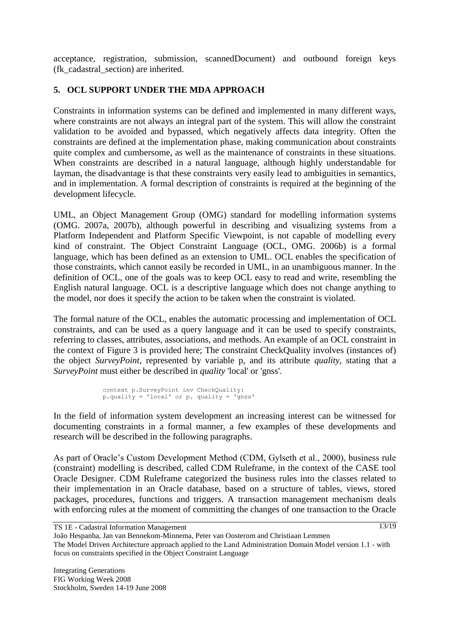acceptance, registration, submission, scannedDocument) and outbound foreign keys (fk\_cadastral\_section) are inherited.

# **5. OCL SUPPORT UNDER THE MDA APPROACH**

Constraints in information systems can be defined and implemented in many different ways, where constraints are not always an integral part of the system. This will allow the constraint validation to be avoided and bypassed, which negatively affects data integrity. Often the constraints are defined at the implementation phase, making communication about constraints quite complex and cumbersome, as well as the maintenance of constraints in these situations. When constraints are described in a natural language, although highly understandable for layman, the disadvantage is that these constraints very easily lead to ambiguities in semantics, and in implementation. A formal description of constraints is required at the beginning of the development lifecycle.

UML, an Object Management Group (OMG) standard for modelling information systems (OMG. 2007a, 2007b), although powerful in describing and visualizing systems from a Platform Independent and Platform Specific Viewpoint, is not capable of modelling every kind of constraint. The Object Constraint Language (OCL, OMG. 2006b) is a formal language, which has been defined as an extension to UML. OCL enables the specification of those constraints, which cannot easily be recorded in UML, in an unambiguous manner. In the definition of OCL, one of the goals was to keep OCL easy to read and write, resembling the English natural language. OCL is a descriptive language which does not change anything to the model, nor does it specify the action to be taken when the constraint is violated.

The formal nature of the OCL, enables the automatic processing and implementation of OCL constraints, and can be used as a query language and it can be used to specify constraints, referring to classes, attributes, associations, and methods. An example of an OCL constraint in the context of Figure 3 is provided here; The constraint CheckQuality involves (instances of) the object *SurveyPoint*, represented by variable p, and its attribute *quality*, stating that a *SurveyPoint* must either be described in *quality* 'local' or 'gnss'.

```
context p.SurveyPoint inv CheckQuality: 
p.quality = 'local' or p. quality = 'gnss'
```
In the field of information system development an increasing interest can be witnessed for documenting constraints in a formal manner, a few examples of these developments and research will be described in the following paragraphs.

As part of Oracle"s Custom Development Method (CDM, Gylseth et al., 2000), business rule (constraint) modelling is described, called CDM Ruleframe, in the context of the CASE tool Oracle Designer. CDM Ruleframe categorized the business rules into the classes related to their implementation in an Oracle database, based on a structure of tables, views, stored packages, procedures, functions and triggers. A transaction management mechanism deals with enforcing rules at the moment of committing the changes of one transaction to the Oracle

TS 1E - Cadastral Information Management

João Hespanha, Jan van Bennekom-Minnema, Peter van Oosterom and Christiaan Lemmen The Model Driven Architecture approach applied to the Land Administration Domain Model version 1.1 - with focus on constraints specified in the Object Constraint Language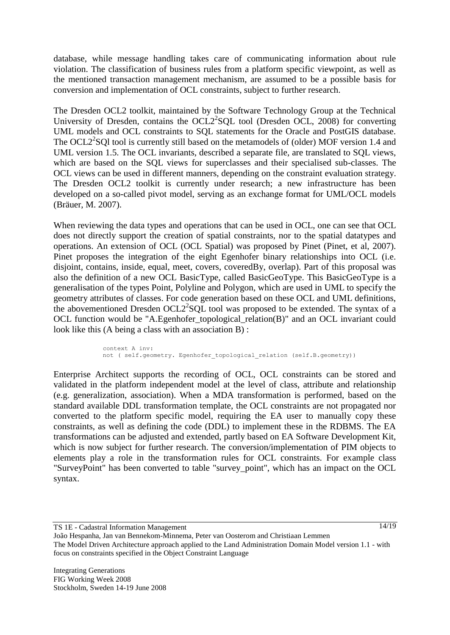database, while message handling takes care of communicating information about rule violation. The classification of business rules from a platform specific viewpoint, as well as the mentioned transaction management mechanism, are assumed to be a possible basis for conversion and implementation of OCL constraints, subject to further research.

The Dresden OCL2 toolkit, maintained by the Software Technology Group at the Technical University of Dresden, contains the OCL2<sup>2</sup>SQL tool (Dresden OCL, 2008) for converting UML models and OCL constraints to SQL statements for the Oracle and PostGIS database. The OCL $2^2$ SQl tool is currently still based on the metamodels of (older) MOF version 1.4 and UML version 1.5. The OCL invariants, described a separate file, are translated to SQL views, which are based on the SQL views for superclasses and their specialised sub-classes. The OCL views can be used in different manners, depending on the constraint evaluation strategy. The Dresden OCL2 toolkit is currently under research; a new infrastructure has been developed on a so-called pivot model, serving as an exchange format for UML/OCL models (Bräuer, M. 2007).

When reviewing the data types and operations that can be used in OCL, one can see that OCL does not directly support the creation of spatial constraints, nor to the spatial datatypes and operations. An extension of OCL (OCL Spatial) was proposed by Pinet (Pinet, et al, 2007). Pinet proposes the integration of the eight Egenhofer binary relationships into OCL (i.e. disjoint, contains, inside, equal, meet, covers, coveredBy, overlap). Part of this proposal was also the definition of a new OCL BasicType, called BasicGeoType. This BasicGeoType is a generalisation of the types Point, Polyline and Polygon, which are used in UML to specify the geometry attributes of classes. For code generation based on these OCL and UML definitions, the abovementioned Dresden OCL2<sup>2</sup>SQL tool was proposed to be extended. The syntax of a OCL function would be "A.Egenhofer topological relation(B)" and an OCL invariant could look like this (A being a class with an association B) :

> context A inv: not ( self.geometry. Egenhofer topological relation (self.B.geometry))

Enterprise Architect supports the recording of OCL, OCL constraints can be stored and validated in the platform independent model at the level of class, attribute and relationship (e.g. generalization, association). When a MDA transformation is performed, based on the standard available DDL transformation template, the OCL constraints are not propagated nor converted to the platform specific model, requiring the EA user to manually copy these constraints, as well as defining the code (DDL) to implement these in the RDBMS. The EA transformations can be adjusted and extended, partly based on EA Software Development Kit, which is now subject for further research. The conversion/implementation of PIM objects to elements play a role in the transformation rules for OCL constraints. For example class "SurveyPoint" has been converted to table "survey\_point", which has an impact on the OCL syntax.

TS 1E - Cadastral Information Management

 $\frac{14}{19}$ 

João Hespanha, Jan van Bennekom-Minnema, Peter van Oosterom and Christiaan Lemmen The Model Driven Architecture approach applied to the Land Administration Domain Model version 1.1 - with focus on constraints specified in the Object Constraint Language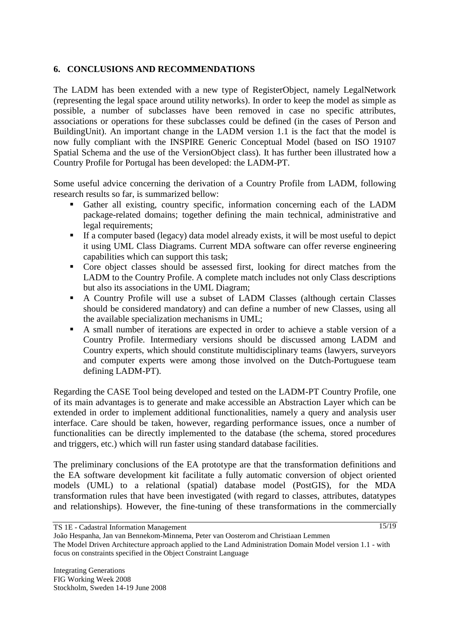### **6. CONCLUSIONS AND RECOMMENDATIONS**

The LADM has been extended with a new type of RegisterObject, namely LegalNetwork (representing the legal space around utility networks). In order to keep the model as simple as possible, a number of subclasses have been removed in case no specific attributes, associations or operations for these subclasses could be defined (in the cases of Person and BuildingUnit). An important change in the LADM version 1.1 is the fact that the model is now fully compliant with the INSPIRE Generic Conceptual Model (based on ISO 19107 Spatial Schema and the use of the VersionObject class). It has further been illustrated how a Country Profile for Portugal has been developed: the LADM-PT.

Some useful advice concerning the derivation of a Country Profile from LADM, following research results so far, is summarized bellow:

- Gather all existing, country specific, information concerning each of the LADM package-related domains; together defining the main technical, administrative and legal requirements;
- If a computer based (legacy) data model already exists, it will be most useful to depict it using UML Class Diagrams. Current MDA software can offer reverse engineering capabilities which can support this task;
- Core object classes should be assessed first, looking for direct matches from the LADM to the Country Profile. A complete match includes not only Class descriptions but also its associations in the UML Diagram;
- A Country Profile will use a subset of LADM Classes (although certain Classes should be considered mandatory) and can define a number of new Classes, using all the available specialization mechanisms in UML;
- A small number of iterations are expected in order to achieve a stable version of a Country Profile. Intermediary versions should be discussed among LADM and Country experts, which should constitute multidisciplinary teams (lawyers, surveyors and computer experts were among those involved on the Dutch-Portuguese team defining LADM-PT).

Regarding the CASE Tool being developed and tested on the LADM-PT Country Profile, one of its main advantages is to generate and make accessible an Abstraction Layer which can be extended in order to implement additional functionalities, namely a query and analysis user interface. Care should be taken, however, regarding performance issues, once a number of functionalities can be directly implemented to the database (the schema, stored procedures and triggers, etc.) which will run faster using standard database facilities.

The preliminary conclusions of the EA prototype are that the transformation definitions and the EA software development kit facilitate a fully automatic conversion of object oriented models (UML) to a relational (spatial) database model (PostGIS), for the MDA transformation rules that have been investigated (with regard to classes, attributes, datatypes and relationships). However, the fine-tuning of these transformations in the commercially

TS 1E - Cadastral Information Management

João Hespanha, Jan van Bennekom-Minnema, Peter van Oosterom and Christiaan Lemmen The Model Driven Architecture approach applied to the Land Administration Domain Model version 1.1 - with focus on constraints specified in the Object Constraint Language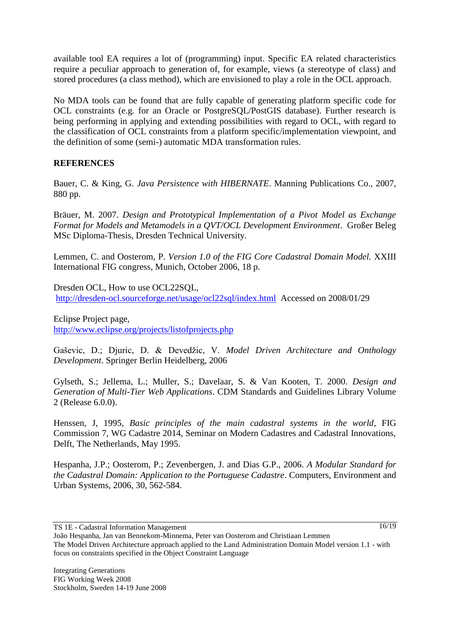available tool EA requires a lot of (programming) input. Specific EA related characteristics require a peculiar approach to generation of, for example, views (a stereotype of class) and stored procedures (a class method), which are envisioned to play a role in the OCL approach.

No MDA tools can be found that are fully capable of generating platform specific code for OCL constraints (e.g. for an Oracle or PostgreSQL/PostGIS database). Further research is being performing in applying and extending possibilities with regard to OCL, with regard to the classification of OCL constraints from a platform specific/implementation viewpoint, and the definition of some (semi-) automatic MDA transformation rules.

## **REFERENCES**

Bauer, C. & King, G. *Java Persistence with HIBERNATE*. Manning Publications Co., 2007, 880 pp.

Bräuer, M. 2007. *Design and Prototypical Implementation of a Pivot Model as Exchange Format for Models and Metamodels in a QVT/OCL Development Environment*. Großer Beleg MSc Diploma-Thesis, Dresden Technical University.

Lemmen, C. and Oosterom, P. *Version 1.0 of the FIG Core Cadastral Domain Model.* XXIII International FIG congress, Munich, October 2006, 18 p.

Dresden OCL, How to use OCL22SOL, <http://dresden-ocl.sourceforge.net/usage/ocl22sql/index.html>Accessed on 2008/01/29

Eclipse Project page, <http://www.eclipse.org/projects/listofprojects.php>

Gaševic, D.; Djuric, D. & Devedžic, V. *Model Driven Architecture and Onthology Development*. Springer Berlin Heidelberg, 2006

Gylseth, S.; Jellema, L.; Muller, S.; Davelaar, S. & Van Kooten, T. 2000. *Design and Generation of Multi-Tier Web Applications*. CDM Standards and Guidelines Library Volume 2 (Release 6.0.0).

Henssen, J, 1995, *Basic principles of the main cadastral systems in the world*, FIG Commission 7, WG Cadastre 2014, Seminar on Modern Cadastres and Cadastral Innovations, Delft, The Netherlands, May 1995.

Hespanha, J.P.; Oosterom, P.; Zevenbergen, J. and Dias G.P., 2006. *A Modular Standard for the Cadastral Domain: Application to the Portuguese Cadastre*. Computers, Environment and Urban Systems, 2006, 30, 562-584.

 $16/19$ 

João Hespanha, Jan van Bennekom-Minnema, Peter van Oosterom and Christiaan Lemmen The Model Driven Architecture approach applied to the Land Administration Domain Model version 1.1 - with focus on constraints specified in the Object Constraint Language

TS 1E - Cadastral Information Management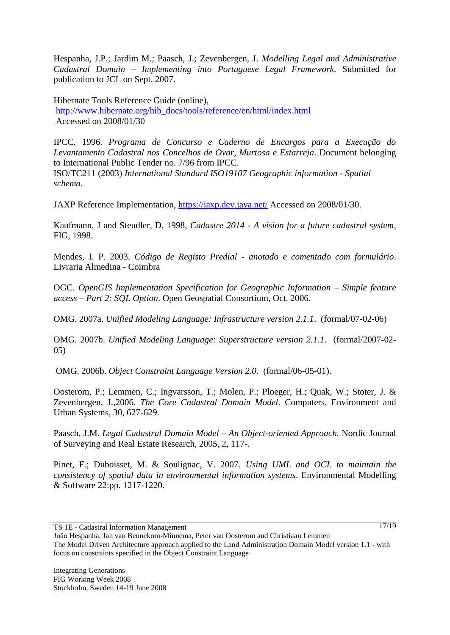Hespanha, J.P.; Jardim M.; Paasch, J.; Zevenbergen, J. *Modelling Legal and Administrative Cadastral Domain – Implementing into Portuguese Legal Framework*. Submitted for publication to JCL on Sept. 2007.

Hibernate Tools Reference Guide (online), [http://www.hibernate.org/hib\\_docs/tools/reference/en/html/index.html](http://www.hibernate.org/hib_docs/tools/reference/en/html/index.html) Accessed on 2008/01/30

IPCC, 1996. *Programa de Concurso e Caderno de Encargos para a Execução do Levantamento Cadastral nos Concelhos de Ovar, Murtosa e Estarreja*. Document belonging to International Public Tender no. 7/96 from IPCC.

ISO/TC211 (2003) *International Standard ISO19107 Geographic information - Spatial schema*.

JAXP Reference Implementation,<https://jaxp.dev.java.net/> Accessed on 2008/01/30.

Kaufmann, J and Steudler, D, 1998, *Cadastre 2014 - A vision for a future cadastral system*, FIG, 1998.

Mendes, I. P. 2003. *Código de Registo Predial - anotado e comentado com formulário*. Livraria Almedina - Coimbra

OGC. *OpenGIS Implementation Specification for Geographic Information – Simple feature access – Part 2: SQL Option*. Open Geospatial Consortium, Oct. 2006.

OMG. 2007a. *Unified Modeling Language: Infrastructure version 2.1.1*. (formal/07-02-06)

OMG. 2007b. *Unified Modeling Language: Superstructure version 2.1.1*. (formal/2007-02- 05)

OMG. 2006b. *Object Constraint Language Version 2.0*. (formal/06-05-01).

Oosterom, P.; Lemmen, C.; Ingvarsson, T.; Molen, P.; Ploeger, H.; Quak, W.; Stoter, J. & Zevenbergen, J.,2006. *The Core Cadastral Domain Model*. Computers, Environment and Urban Systems, 30, 627-629.

Paasch, J.M. *Legal Cadastral Domain Model – An Object-oriented Approach.* Nordic Journal of Surveying and Real Estate Research, 2005, 2, 117-.

Pinet, F.; Duboisset, M. & Soulignac, V. 2007. *Using UML and OCL to maintain the consistency of spatial data in environmental information systems*. Environmental Modelling & Software 22:pp. 1217-1220.

TS 1E - Cadastral Information Management

João Hespanha, Jan van Bennekom-Minnema, Peter van Oosterom and Christiaan Lemmen The Model Driven Architecture approach applied to the Land Administration Domain Model version 1.1 - with focus on constraints specified in the Object Constraint Language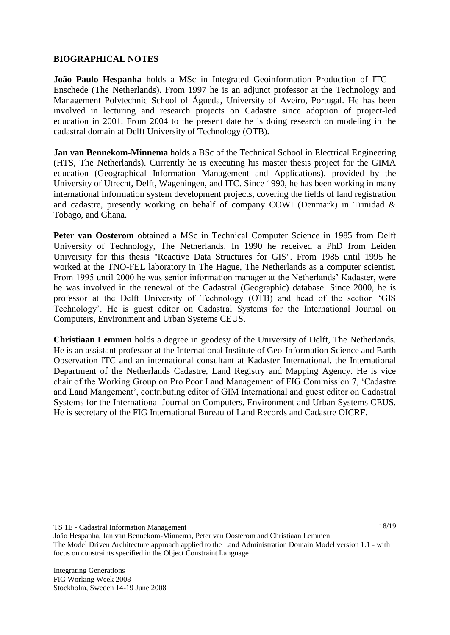### **BIOGRAPHICAL NOTES**

**João Paulo Hespanha** holds a MSc in Integrated Geoinformation Production of ITC – Enschede (The Netherlands). From 1997 he is an adjunct professor at the Technology and Management Polytechnic School of Águeda, University of Aveiro, Portugal. He has been involved in lecturing and research projects on Cadastre since adoption of project-led education in 2001. From 2004 to the present date he is doing research on modeling in the cadastral domain at Delft University of Technology (OTB).

**Jan van Bennekom-Minnema** holds a BSc of the Technical School in Electrical Engineering (HTS, The Netherlands). Currently he is executing his master thesis project for the GIMA education (Geographical Information Management and Applications), provided by the University of Utrecht, Delft, Wageningen, and ITC. Since 1990, he has been working in many international information system development projects, covering the fields of land registration and cadastre, presently working on behalf of company COWI (Denmark) in Trinidad & Tobago, and Ghana.

**Peter van Oosterom** obtained a MSc in Technical Computer Science in 1985 from Delft University of Technology, The Netherlands. In 1990 he received a PhD from Leiden University for this thesis "Reactive Data Structures for GIS". From 1985 until 1995 he worked at the TNO-FEL laboratory in The Hague, The Netherlands as a computer scientist. From 1995 until 2000 he was senior information manager at the Netherlands" Kadaster, were he was involved in the renewal of the Cadastral (Geographic) database. Since 2000, he is professor at the Delft University of Technology (OTB) and head of the section "GIS Technology". He is guest editor on Cadastral Systems for the International Journal on Computers, Environment and Urban Systems CEUS.

**Christiaan Lemmen** holds a degree in geodesy of the University of Delft, The Netherlands. He is an assistant professor at the International Institute of Geo-Information Science and Earth Observation ITC and an international consultant at Kadaster International, the International Department of the Netherlands Cadastre, Land Registry and Mapping Agency. He is vice chair of the Working Group on Pro Poor Land Management of FIG Commission 7, "Cadastre and Land Mangement", contributing editor of GIM International and guest editor on Cadastral Systems for the International Journal on Computers, Environment and Urban Systems CEUS. He is secretary of the FIG International Bureau of Land Records and Cadastre OICRF.

TS 1E - Cadastral Information Management

18/19

João Hespanha, Jan van Bennekom-Minnema, Peter van Oosterom and Christiaan Lemmen The Model Driven Architecture approach applied to the Land Administration Domain Model version 1.1 - with focus on constraints specified in the Object Constraint Language